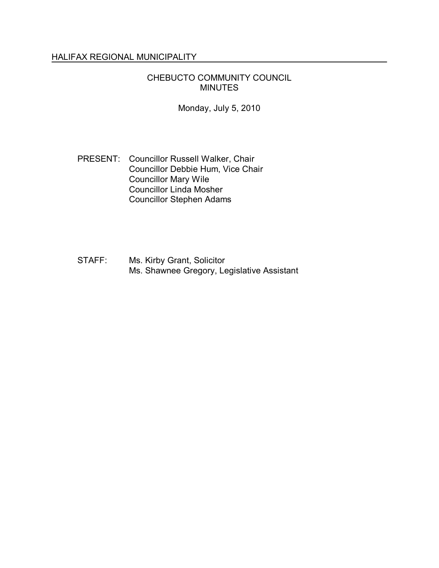## HALIFAX REGIONAL MUNICIPALITY

## CHEBUCTO COMMUNITY COUNCIL MINUTES

Monday, July 5, 2010

## PRESENT: Councillor Russell Walker, Chair Councillor Debbie Hum, Vice Chair Councillor Mary Wile Councillor Linda Mosher Councillor Stephen Adams

STAFF: Ms. Kirby Grant, Solicitor Ms. Shawnee Gregory, Legislative Assistant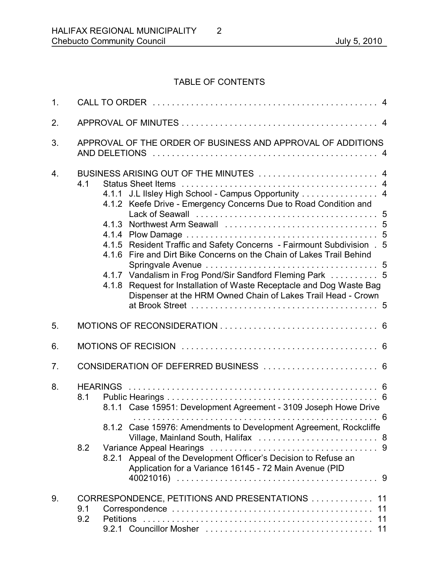# TABLE OF CONTENTS

| 1.               |                                                             |                                                                                                                                                                                                                                                                                                                                                                                                                                                                                                                               |  |  |
|------------------|-------------------------------------------------------------|-------------------------------------------------------------------------------------------------------------------------------------------------------------------------------------------------------------------------------------------------------------------------------------------------------------------------------------------------------------------------------------------------------------------------------------------------------------------------------------------------------------------------------|--|--|
| 2.               |                                                             |                                                                                                                                                                                                                                                                                                                                                                                                                                                                                                                               |  |  |
| 3.               | APPROVAL OF THE ORDER OF BUSINESS AND APPROVAL OF ADDITIONS |                                                                                                                                                                                                                                                                                                                                                                                                                                                                                                                               |  |  |
| $\overline{4}$ . | 4.1                                                         | BUSINESS ARISING OUT OF THE MINUTES  4<br>4.1.1 J.L IIsley High School - Campus Opportunity 4<br>4.1.2 Keefe Drive - Emergency Concerns Due to Road Condition and<br>4.1.5 Resident Traffic and Safety Concerns - Fairmount Subdivision . 5<br>Fire and Dirt Bike Concerns on the Chain of Lakes Trail Behind<br>4.16<br>4.1.7 Vandalism in Frog Pond/Sir Sandford Fleming Park  5<br>Request for Installation of Waste Receptacle and Dog Waste Bag<br>4.1.8<br>Dispenser at the HRM Owned Chain of Lakes Trail Head - Crown |  |  |
| 5.               |                                                             |                                                                                                                                                                                                                                                                                                                                                                                                                                                                                                                               |  |  |
| 6.               |                                                             |                                                                                                                                                                                                                                                                                                                                                                                                                                                                                                                               |  |  |
| 7 <sub>1</sub>   |                                                             | CONSIDERATION OF DEFERRED BUSINESS  6                                                                                                                                                                                                                                                                                                                                                                                                                                                                                         |  |  |
| 8.               | 8.1<br>8.2                                                  | 6<br>8.1.1 Case 15951: Development Agreement - 3109 Joseph Howe Drive<br>8.1.2 Case 15976: Amendments to Development Agreement, Rockcliffe<br>Appeal of the Development Officer's Decision to Refuse an<br>8.2.1<br>Application for a Variance 16145 - 72 Main Avenue (PID                                                                                                                                                                                                                                                    |  |  |
| 9.               | 9.1<br>9.2                                                  | CORRESPONDENCE, PETITIONS AND PRESENTATIONS  11<br>11                                                                                                                                                                                                                                                                                                                                                                                                                                                                         |  |  |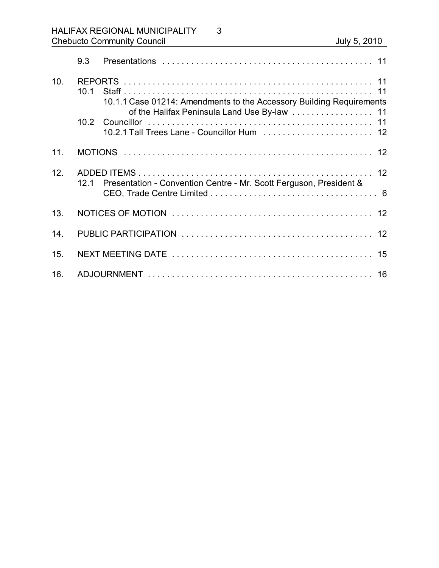|     | 9.3                                                                        |                                                                                                                      |
|-----|----------------------------------------------------------------------------|----------------------------------------------------------------------------------------------------------------------|
| 10. | 10 1                                                                       | 10.1.1 Case 01214: Amendments to the Accessory Building Requirements<br>of the Halifax Peninsula Land Use By-law  11 |
|     |                                                                            | 10.2.1 Tall Trees Lane - Councillor Hum  12                                                                          |
| 11. |                                                                            |                                                                                                                      |
| 12. | Presentation - Convention Centre - Mr. Scott Ferguson, President &<br>12 1 |                                                                                                                      |
| 13. |                                                                            |                                                                                                                      |
| 14  |                                                                            |                                                                                                                      |
| 15. |                                                                            |                                                                                                                      |
| 16. |                                                                            |                                                                                                                      |

3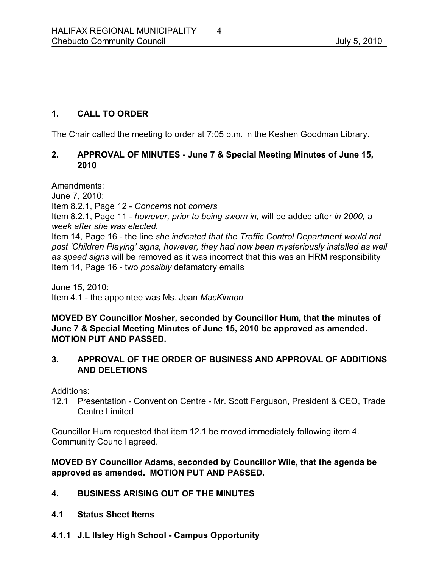## **1. CALL TO ORDER**

The Chair called the meeting to order at 7:05 p.m. in the Keshen Goodman Library.

## **2. APPROVAL OF MINUTES June 7 & Special Meeting Minutes of June 15, 2010**

Amendments:

June 7, 2010:

Item 8.2.1, Page 12  *Concerns* not *corners*

Item 8.2.1, Page 11  *however, prior to being sworn in,* will be added after *in 2000, a week after she was elected.*

Item 14, Page 16 - the line she indicated that the Traffic Control Department would not *post 'Children Playing' signs, however, they had now been mysteriously installed as well as speed signs* will be removed as it was incorrect that this was an HRM responsibility Item 14, Page 16 - two *possibly* defamatory emails

June 15, 2010: Item 4.1 the appointee was Ms. Joan *MacKinnon*

**MOVED BY Councillor Mosher, seconded by Councillor Hum, that the minutes of June 7 & Special Meeting Minutes of June 15, 2010 be approved as amended. MOTION PUT AND PASSED.** 

## **3. APPROVAL OF THE ORDER OF BUSINESS AND APPROVAL OF ADDITIONS AND DELETIONS**

Additions:

12.1 Presentation - Convention Centre - Mr. Scott Ferguson, President & CEO, Trade Centre Limited

Councillor Hum requested that item 12.1 be moved immediately following item 4. Community Council agreed.

## **MOVED BY Councillor Adams, seconded by Councillor Wile, that the agenda be approved as amended. MOTION PUT AND PASSED.**

## **4. BUSINESS ARISING OUT OF THE MINUTES**

- **4.1 Status Sheet Items**
- **4.1.1 J.L Ilsley High School Campus Opportunity**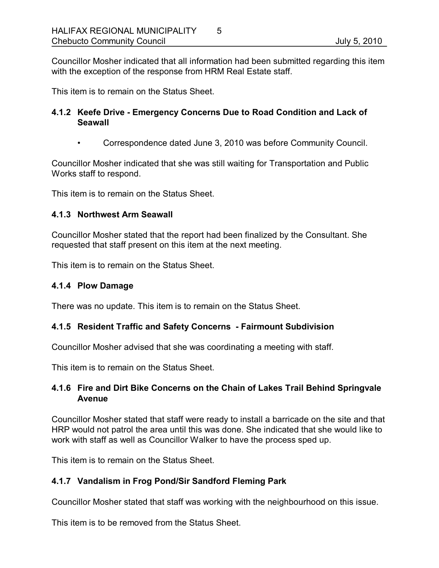Councillor Mosher indicated that all information had been submitted regarding this item with the exception of the response from HRM Real Estate staff.

This item is to remain on the Status Sheet.

## **4.1.2 Keefe Drive Emergency Concerns Due to Road Condition and Lack of Seawall**

• Correspondence dated June 3, 2010 was before Community Council.

Councillor Mosher indicated that she was still waiting for Transportation and Public Works staff to respond.

This item is to remain on the Status Sheet.

### **4.1.3 Northwest Arm Seawall**

Councillor Mosher stated that the report had been finalized by the Consultant. She requested that staff present on this item at the next meeting.

This item is to remain on the Status Sheet.

### **4.1.4 Plow Damage**

There was no update. This item is to remain on the Status Sheet.

## **4.1.5 Resident Traffic and Safety Concerns Fairmount Subdivision**

Councillor Mosher advised that she was coordinating a meeting with staff.

This item is to remain on the Status Sheet.

## **4.1.6 Fire and Dirt Bike Concerns on the Chain of Lakes Trail Behind Springvale Avenue**

Councillor Mosher stated that staff were ready to install a barricade on the site and that HRP would not patrol the area until this was done. She indicated that she would like to work with staff as well as Councillor Walker to have the process sped up.

This item is to remain on the Status Sheet.

## **4.1.7 Vandalism in Frog Pond/Sir Sandford Fleming Park**

Councillor Mosher stated that staff was working with the neighbourhood on this issue.

This item is to be removed from the Status Sheet.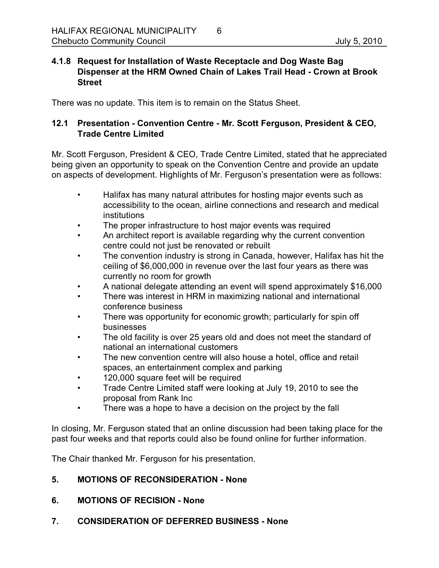### **4.1.8 Request for Installation of Waste Receptacle and Dog Waste Bag Dispenser at the HRM Owned Chain of Lakes Trail Head Crown at Brook Street**

There was no update. This item is to remain on the Status Sheet.

## **12.1 Presentation Convention Centre Mr. Scott Ferguson, President & CEO, Trade Centre Limited**

Mr. Scott Ferguson, President & CEO, Trade Centre Limited, stated that he appreciated being given an opportunity to speak on the Convention Centre and provide an update on aspects of development. Highlights of Mr. Ferguson's presentation were as follows:

- Halifax has many natural attributes for hosting major events such as accessibility to the ocean, airline connections and research and medical institutions
- The proper infrastructure to host major events was required
- An architect report is available regarding why the current convention centre could not just be renovated or rebuilt
- The convention industry is strong in Canada, however, Halifax has hit the ceiling of \$6,000,000 in revenue over the last four years as there was currently no room for growth
- A national delegate attending an event will spend approximately \$16,000
- There was interest in HRM in maximizing national and international conference business
- There was opportunity for economic growth; particularly for spin off businesses
- The old facility is over 25 years old and does not meet the standard of national an international customers
- The new convention centre will also house a hotel, office and retail spaces, an entertainment complex and parking
- 120,000 square feet will be required
- Trade Centre Limited staff were looking at July 19, 2010 to see the proposal from Rank Inc
- There was a hope to have a decision on the project by the fall

In closing, Mr. Ferguson stated that an online discussion had been taking place for the past four weeks and that reports could also be found online for further information.

The Chair thanked Mr. Ferguson for his presentation.

## **5. MOTIONS OF RECONSIDERATION None**

- **6. MOTIONS OF RECISION None**
- **7. CONSIDERATION OF DEFERRED BUSINESS None**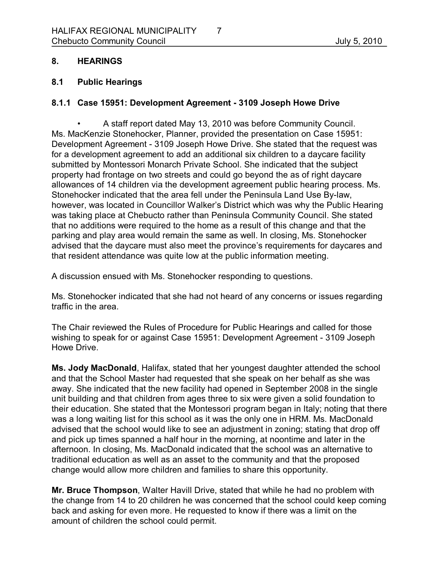### **8. HEARINGS**

#### **8.1 Public Hearings**

### **8.1.1 Case 15951: Development Agreement 3109 Joseph Howe Drive**

• A staff report dated May 13, 2010 was before Community Council. Ms. MacKenzie Stonehocker, Planner, provided the presentation on Case 15951: Development Agreement - 3109 Joseph Howe Drive. She stated that the request was for a development agreement to add an additional six children to a daycare facility submitted by Montessori Monarch Private School. She indicated that the subject property had frontage on two streets and could go beyond the as of right daycare allowances of 14 children via the development agreement public hearing process. Ms. Stonehocker indicated that the area fell under the Peninsula Land Use By-law, however, was located in Councillor Walker's District which was why the Public Hearing was taking place at Chebucto rather than Peninsula Community Council. She stated that no additions were required to the home as a result of this change and that the parking and play area would remain the same as well. In closing, Ms. Stonehocker advised that the daycare must also meet the province's requirements for daycares and that resident attendance was quite low at the public information meeting.

A discussion ensued with Ms. Stonehocker responding to questions.

Ms. Stonehocker indicated that she had not heard of any concerns or issues regarding traffic in the area.

The Chair reviewed the Rules of Procedure for Public Hearings and called for those wishing to speak for or against Case 15951: Development Agreement - 3109 Joseph Howe Drive.

**Ms. Jody MacDonald**, Halifax, stated that her youngest daughter attended the school and that the School Master had requested that she speak on her behalf as she was away. She indicated that the new facility had opened in September 2008 in the single unit building and that children from ages three to six were given a solid foundation to their education. She stated that the Montessori program began in Italy; noting that there was a long waiting list for this school as it was the only one in HRM. Ms. MacDonald advised that the school would like to see an adjustment in zoning; stating that drop off and pick up times spanned a half hour in the morning, at noontime and later in the afternoon. In closing, Ms. MacDonald indicated that the school was an alternative to traditional education as well as an asset to the community and that the proposed change would allow more children and families to share this opportunity.

**Mr. Bruce Thompson**, Walter Havill Drive, stated that while he had no problem with the change from 14 to 20 children he was concerned that the school could keep coming back and asking for even more. He requested to know if there was a limit on the amount of children the school could permit.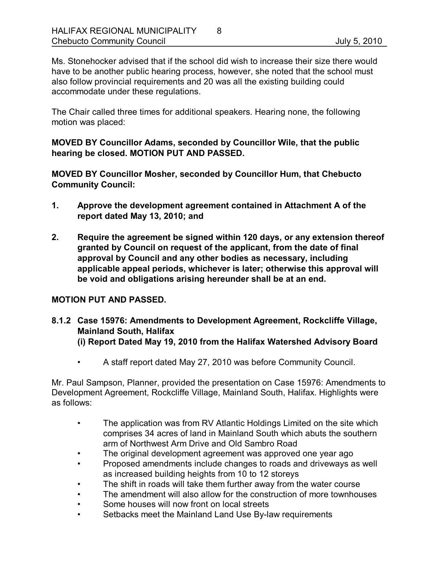Ms. Stonehocker advised that if the school did wish to increase their size there would have to be another public hearing process, however, she noted that the school must also follow provincial requirements and 20 was all the existing building could accommodate under these regulations.

The Chair called three times for additional speakers. Hearing none, the following motion was placed:

**MOVED BY Councillor Adams, seconded by Councillor Wile, that the public hearing be closed. MOTION PUT AND PASSED.** 

**MOVED BY Councillor Mosher, seconded by Councillor Hum, that Chebucto Community Council:**

- **1. Approve the development agreement contained in Attachment A of the report dated May 13, 2010; and**
- **2. Require the agreement be signed within 120 days, or any extension thereof granted by Council on request of the applicant, from the date of final approval by Council and any other bodies as necessary, including applicable appeal periods, whichever is later; otherwise this approval will be void and obligations arising hereunder shall be at an end.**

## **MOTION PUT AND PASSED.**

- **8.1.2 Case 15976: Amendments to Development Agreement, Rockcliffe Village, Mainland South, Halifax (i) Report Dated May 19, 2010 from the Halifax Watershed Advisory Board**
	- A staff report dated May 27, 2010 was before Community Council.

Mr. Paul Sampson, Planner, provided the presentation on Case 15976: Amendments to Development Agreement, Rockcliffe Village, Mainland South, Halifax. Highlights were as follows:

- The application was from RV Atlantic Holdings Limited on the site which comprises 34 acres of land in Mainland South which abuts the southern arm of Northwest Arm Drive and Old Sambro Road
- The original development agreement was approved one year ago
- Proposed amendments include changes to roads and driveways as well as increased building heights from 10 to 12 storeys
- The shift in roads will take them further away from the water course
- The amendment will also allow for the construction of more townhouses
- Some houses will now front on local streets
- Setbacks meet the Mainland Land Use By-law requirements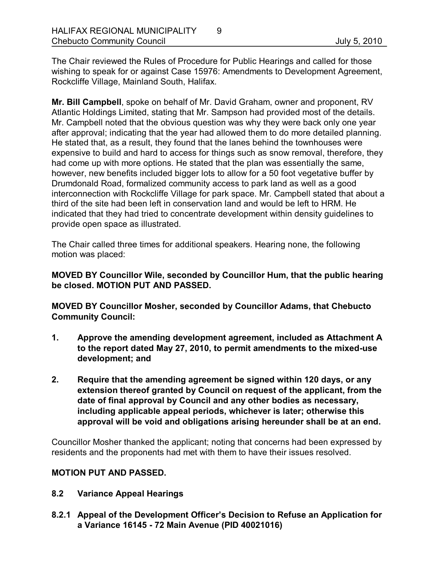The Chair reviewed the Rules of Procedure for Public Hearings and called for those wishing to speak for or against Case 15976: Amendments to Development Agreement, Rockcliffe Village, Mainland South, Halifax.

**Mr. Bill Campbell**, spoke on behalf of Mr. David Graham, owner and proponent, RV Atlantic Holdings Limited, stating that Mr. Sampson had provided most of the details. Mr. Campbell noted that the obvious question was why they were back only one year after approval; indicating that the year had allowed them to do more detailed planning. He stated that, as a result, they found that the lanes behind the townhouses were expensive to build and hard to access for things such as snow removal, therefore, they had come up with more options. He stated that the plan was essentially the same, however, new benefits included bigger lots to allow for a 50 foot vegetative buffer by Drumdonald Road, formalized community access to park land as well as a good interconnection with Rockcliffe Village for park space. Mr. Campbell stated that about a third of the site had been left in conservation land and would be left to HRM. He indicated that they had tried to concentrate development within density guidelines to provide open space as illustrated.

The Chair called three times for additional speakers. Hearing none, the following motion was placed:

**MOVED BY Councillor Wile, seconded by Councillor Hum, that the public hearing be closed. MOTION PUT AND PASSED.** 

**MOVED BY Councillor Mosher, seconded by Councillor Adams, that Chebucto Community Council:**

- **1. Approve the amending development agreement, included as Attachment A**  to the report dated May 27, 2010, to permit amendments to the mixed-use **development; and**
- **2. Require that the amending agreement be signed within 120 days, or any extension thereof granted by Council on request of the applicant, from the date of final approval by Council and any other bodies as necessary, including applicable appeal periods, whichever is later; otherwise this approval will be void and obligations arising hereunder shall be at an end.**

Councillor Mosher thanked the applicant; noting that concerns had been expressed by residents and the proponents had met with them to have their issues resolved.

### **MOTION PUT AND PASSED.**

- **8.2 Variance Appeal Hearings**
- **8.2.1 Appeal of the Development Officer's Decision to Refuse an Application for a Variance 16145 72 Main Avenue (PID 40021016)**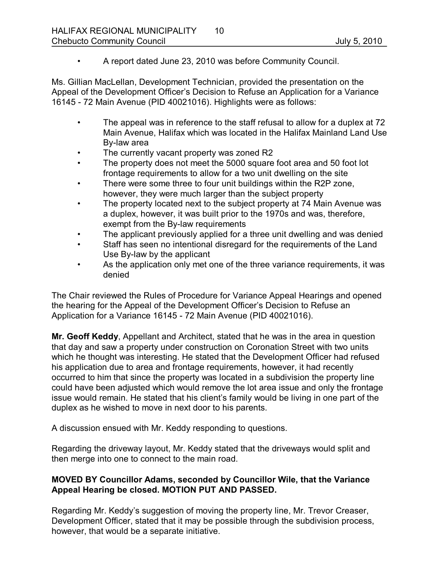• A report dated June 23, 2010 was before Community Council.

Ms. Gillian MacLellan, Development Technician, provided the presentation on the Appeal of the Development Officer's Decision to Refuse an Application for a Variance 16145 72 Main Avenue (PID 40021016). Highlights were as follows:

- The appeal was in reference to the staff refusal to allow for a duplex at 72 Main Avenue, Halifax which was located in the Halifax Mainland Land Use Bylaw area
- The currently vacant property was zoned R2
- The property does not meet the 5000 square foot area and 50 foot lot frontage requirements to allow for a two unit dwelling on the site
- There were some three to four unit buildings within the R2P zone, however, they were much larger than the subject property
- The property located next to the subject property at 74 Main Avenue was a duplex, however, it was built prior to the 1970s and was, therefore, exempt from the By-law requirements
- The applicant previously applied for a three unit dwelling and was denied
- Staff has seen no intentional disregard for the requirements of the Land Use By-law by the applicant
- As the application only met one of the three variance requirements, it was denied

The Chair reviewed the Rules of Procedure for Variance Appeal Hearings and opened the hearing for the Appeal of the Development Officer's Decision to Refuse an Application for a Variance 16145 - 72 Main Avenue (PID 40021016).

**Mr. Geoff Keddy**, Appellant and Architect, stated that he was in the area in question that day and saw a property under construction on Coronation Street with two units which he thought was interesting. He stated that the Development Officer had refused his application due to area and frontage requirements, however, it had recently occurred to him that since the property was located in a subdivision the property line could have been adjusted which would remove the lot area issue and only the frontage issue would remain. He stated that his client's family would be living in one part of the duplex as he wished to move in next door to his parents.

A discussion ensued with Mr. Keddy responding to questions.

Regarding the driveway layout, Mr. Keddy stated that the driveways would split and then merge into one to connect to the main road.

## **MOVED BY Councillor Adams, seconded by Councillor Wile, that the Variance Appeal Hearing be closed. MOTION PUT AND PASSED.**

Regarding Mr. Keddy's suggestion of moving the property line, Mr. Trevor Creaser, Development Officer, stated that it may be possible through the subdivision process, however, that would be a separate initiative.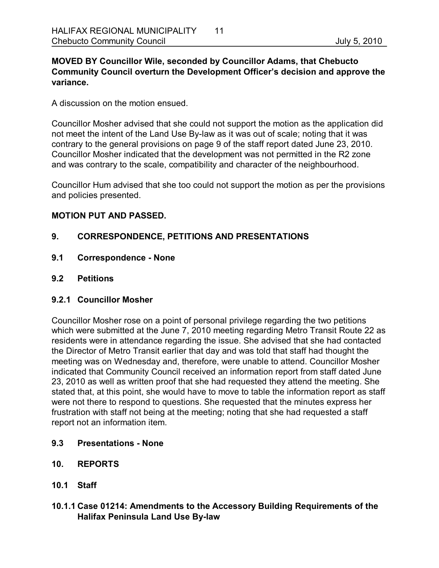### **MOVED BY Councillor Wile, seconded by Councillor Adams, that Chebucto Community Council overturn the Development Officer's decision and approve the variance.**

A discussion on the motion ensued.

Councillor Mosher advised that she could not support the motion as the application did not meet the intent of the Land Use By-law as it was out of scale; noting that it was contrary to the general provisions on page 9 of the staff report dated June 23, 2010. Councillor Mosher indicated that the development was not permitted in the R2 zone and was contrary to the scale, compatibility and character of the neighbourhood.

Councillor Hum advised that she too could not support the motion as per the provisions and policies presented.

### **MOTION PUT AND PASSED.**

## **9. CORRESPONDENCE, PETITIONS AND PRESENTATIONS**

- **9.1 Correspondence None**
- **9.2 Petitions**

### **9.2.1 Councillor Mosher**

Councillor Mosher rose on a point of personal privilege regarding the two petitions which were submitted at the June 7, 2010 meeting regarding Metro Transit Route 22 as residents were in attendance regarding the issue. She advised that she had contacted the Director of Metro Transit earlier that day and was told that staff had thought the meeting was on Wednesday and, therefore, were unable to attend. Councillor Mosher indicated that Community Council received an information report from staff dated June 23, 2010 as well as written proof that she had requested they attend the meeting. She stated that, at this point, she would have to move to table the information report as staff were not there to respond to questions. She requested that the minutes express her frustration with staff not being at the meeting; noting that she had requested a staff report not an information item.

- **9.3 Presentations None**
- **10. REPORTS**
- **10.1 Staff**
- **10.1.1 Case 01214: Amendments to the Accessory Building Requirements of the Halifax Peninsula Land Use By-law**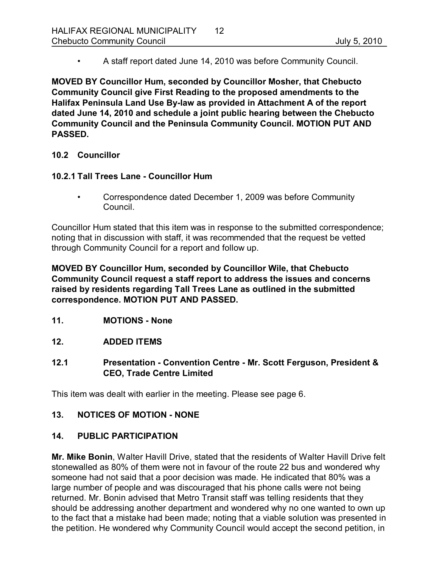• A staff report dated June 14, 2010 was before Community Council.

**MOVED BY Councillor Hum, seconded by Councillor Mosher, that Chebucto Community Council give First Reading to the proposed amendments to the**  Halifax Peninsula Land Use By-law as provided in Attachment A of the report **dated June 14, 2010 and schedule a joint public hearing between the Chebucto Community Council and the Peninsula Community Council. MOTION PUT AND PASSED.** 

## **10.2 Councillor**

### **10.2.1 Tall Trees Lane Councillor Hum**

• Correspondence dated December 1, 2009 was before Community Council.

Councillor Hum stated that this item was in response to the submitted correspondence; noting that in discussion with staff, it was recommended that the request be vetted through Community Council for a report and follow up.

**MOVED BY Councillor Hum, seconded by Councillor Wile, that Chebucto Community Council request a staff report to address the issues and concerns raised by residents regarding Tall Trees Lane as outlined in the submitted correspondence. MOTION PUT AND PASSED.** 

**11. MOTIONS None** 

### **12. ADDED ITEMS**

**12.1 Presentation Convention Centre Mr. Scott Ferguson, President & CEO, Trade Centre Limited**

This item was dealt with earlier in the meeting. Please see page 6.

### 13. NOTICES OF MOTION - NONE

### **14. PUBLIC PARTICIPATION**

**Mr. Mike Bonin**, Walter Havill Drive, stated that the residents of Walter Havill Drive felt stonewalled as 80% of them were not in favour of the route 22 bus and wondered why someone had not said that a poor decision was made. He indicated that 80% was a large number of people and was discouraged that his phone calls were not being returned. Mr. Bonin advised that Metro Transit staff was telling residents that they should be addressing another department and wondered why no one wanted to own up to the fact that a mistake had been made; noting that a viable solution was presented in the petition. He wondered why Community Council would accept the second petition, in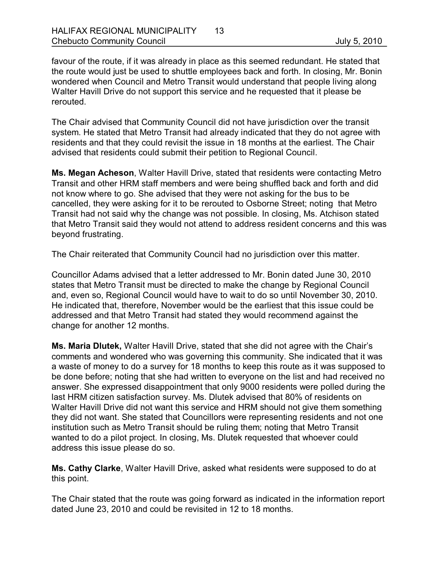favour of the route, if it was already in place as this seemed redundant. He stated that the route would just be used to shuttle employees back and forth. In closing, Mr. Bonin wondered when Council and Metro Transit would understand that people living along Walter Havill Drive do not support this service and he requested that it please be rerouted.

The Chair advised that Community Council did not have jurisdiction over the transit system. He stated that Metro Transit had already indicated that they do not agree with residents and that they could revisit the issue in 18 months at the earliest. The Chair advised that residents could submit their petition to Regional Council.

**Ms. Megan Acheson**, Walter Havill Drive, stated that residents were contacting Metro Transit and other HRM staff members and were being shuffled back and forth and did not know where to go. She advised that they were not asking for the bus to be cancelled, they were asking for it to be rerouted to Osborne Street; noting that Metro Transit had not said why the change was not possible. In closing, Ms. Atchison stated that Metro Transit said they would not attend to address resident concerns and this was beyond frustrating.

The Chair reiterated that Community Council had no jurisdiction over this matter.

Councillor Adams advised that a letter addressed to Mr. Bonin dated June 30, 2010 states that Metro Transit must be directed to make the change by Regional Council and, even so, Regional Council would have to wait to do so until November 30, 2010. He indicated that, therefore, November would be the earliest that this issue could be addressed and that Metro Transit had stated they would recommend against the change for another 12 months.

**Ms. Maria Dlutek,** Walter Havill Drive, stated that she did not agree with the Chair's comments and wondered who was governing this community. She indicated that it was a waste of money to do a survey for 18 months to keep this route as it was supposed to be done before; noting that she had written to everyone on the list and had received no answer. She expressed disappointment that only 9000 residents were polled during the last HRM citizen satisfaction survey. Ms. Dlutek advised that 80% of residents on Walter Havill Drive did not want this service and HRM should not give them something they did not want. She stated that Councillors were representing residents and not one institution such as Metro Transit should be ruling them; noting that Metro Transit wanted to do a pilot project. In closing, Ms. Dlutek requested that whoever could address this issue please do so.

**Ms. Cathy Clarke**, Walter Havill Drive, asked what residents were supposed to do at this point.

The Chair stated that the route was going forward as indicated in the information report dated June 23, 2010 and could be revisited in 12 to 18 months.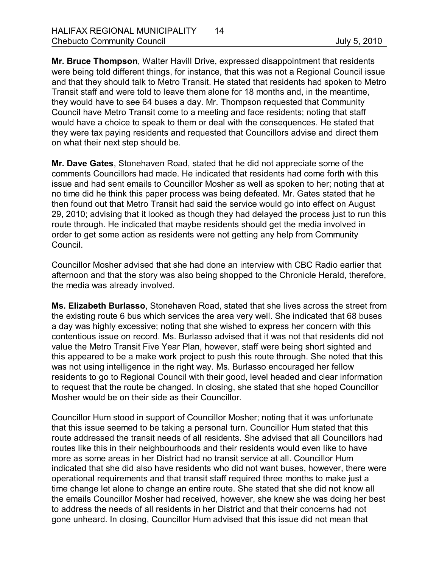**Mr. Bruce Thompson**, Walter Havill Drive, expressed disappointment that residents were being told different things, for instance, that this was not a Regional Council issue and that they should talk to Metro Transit. He stated that residents had spoken to Metro Transit staff and were told to leave them alone for 18 months and, in the meantime, they would have to see 64 buses a day. Mr. Thompson requested that Community Council have Metro Transit come to a meeting and face residents; noting that staff would have a choice to speak to them or deal with the consequences. He stated that they were tax paying residents and requested that Councillors advise and direct them on what their next step should be.

**Mr. Dave Gates**, Stonehaven Road, stated that he did not appreciate some of the comments Councillors had made. He indicated that residents had come forth with this issue and had sent emails to Councillor Mosher as well as spoken to her; noting that at no time did he think this paper process was being defeated. Mr. Gates stated that he then found out that Metro Transit had said the service would go into effect on August 29, 2010; advising that it looked as though they had delayed the process just to run this route through. He indicated that maybe residents should get the media involved in order to get some action as residents were not getting any help from Community Council.

Councillor Mosher advised that she had done an interview with CBC Radio earlier that afternoon and that the story was also being shopped to the Chronicle Herald, therefore, the media was already involved.

**Ms. Elizabeth Burlasso**, Stonehaven Road, stated that she lives across the street from the existing route 6 bus which services the area very well. She indicated that 68 buses a day was highly excessive; noting that she wished to express her concern with this contentious issue on record. Ms. Burlasso advised that it was not that residents did not value the Metro Transit Five Year Plan, however, staff were being short sighted and this appeared to be a make work project to push this route through. She noted that this was not using intelligence in the right way. Ms. Burlasso encouraged her fellow residents to go to Regional Council with their good, level headed and clear information to request that the route be changed. In closing, she stated that she hoped Councillor Mosher would be on their side as their Councillor.

Councillor Hum stood in support of Councillor Mosher; noting that it was unfortunate that this issue seemed to be taking a personal turn. Councillor Hum stated that this route addressed the transit needs of all residents. She advised that all Councillors had routes like this in their neighbourhoods and their residents would even like to have more as some areas in her District had no transit service at all. Councillor Hum indicated that she did also have residents who did not want buses, however, there were operational requirements and that transit staff required three months to make just a time change let alone to change an entire route. She stated that she did not know all the emails Councillor Mosher had received, however, she knew she was doing her best to address the needs of all residents in her District and that their concerns had not gone unheard. In closing, Councillor Hum advised that this issue did not mean that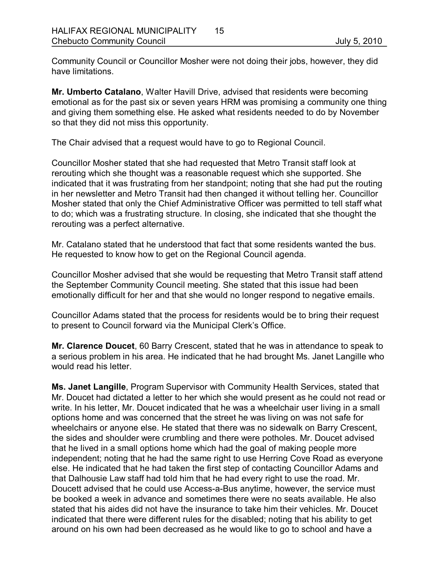Community Council or Councillor Mosher were not doing their jobs, however, they did have limitations.

**Mr. Umberto Catalano**, Walter Havill Drive, advised that residents were becoming emotional as for the past six or seven years HRM was promising a community one thing and giving them something else. He asked what residents needed to do by November so that they did not miss this opportunity.

The Chair advised that a request would have to go to Regional Council.

Councillor Mosher stated that she had requested that Metro Transit staff look at rerouting which she thought was a reasonable request which she supported. She indicated that it was frustrating from her standpoint; noting that she had put the routing in her newsletter and Metro Transit had then changed it without telling her. Councillor Mosher stated that only the Chief Administrative Officer was permitted to tell staff what to do; which was a frustrating structure. In closing, she indicated that she thought the rerouting was a perfect alternative.

Mr. Catalano stated that he understood that fact that some residents wanted the bus. He requested to know how to get on the Regional Council agenda.

Councillor Mosher advised that she would be requesting that Metro Transit staff attend the September Community Council meeting. She stated that this issue had been emotionally difficult for her and that she would no longer respond to negative emails.

Councillor Adams stated that the process for residents would be to bring their request to present to Council forward via the Municipal Clerk's Office.

**Mr. Clarence Doucet**, 60 Barry Crescent, stated that he was in attendance to speak to a serious problem in his area. He indicated that he had brought Ms. Janet Langille who would read his letter.

**Ms. Janet Langille**, Program Supervisor with Community Health Services, stated that Mr. Doucet had dictated a letter to her which she would present as he could not read or write. In his letter, Mr. Doucet indicated that he was a wheelchair user living in a small options home and was concerned that the street he was living on was not safe for wheelchairs or anyone else. He stated that there was no sidewalk on Barry Crescent, the sides and shoulder were crumbling and there were potholes. Mr. Doucet advised that he lived in a small options home which had the goal of making people more independent; noting that he had the same right to use Herring Cove Road as everyone else. He indicated that he had taken the first step of contacting Councillor Adams and that Dalhousie Law staff had told him that he had every right to use the road. Mr. Doucett advised that he could use Access-a-Bus anytime, however, the service must be booked a week in advance and sometimes there were no seats available. He also stated that his aides did not have the insurance to take him their vehicles. Mr. Doucet indicated that there were different rules for the disabled; noting that his ability to get around on his own had been decreased as he would like to go to school and have a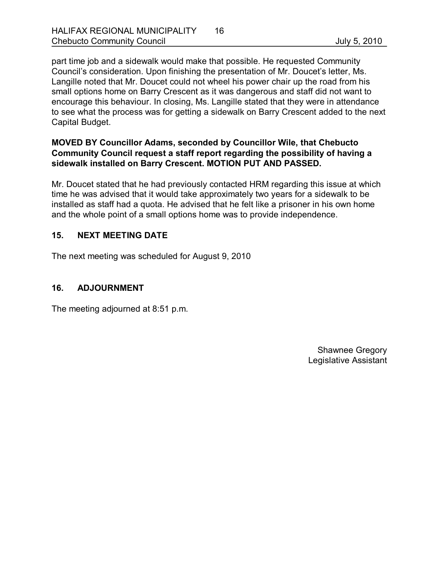part time job and a sidewalk would make that possible. He requested Community Council's consideration. Upon finishing the presentation of Mr. Doucet's letter, Ms. Langille noted that Mr. Doucet could not wheel his power chair up the road from his small options home on Barry Crescent as it was dangerous and staff did not want to encourage this behaviour. In closing, Ms. Langille stated that they were in attendance to see what the process was for getting a sidewalk on Barry Crescent added to the next Capital Budget.

## **MOVED BY Councillor Adams, seconded by Councillor Wile, that Chebucto Community Council request a staff report regarding the possibility of having a sidewalk installed on Barry Crescent. MOTION PUT AND PASSED.**

Mr. Doucet stated that he had previously contacted HRM regarding this issue at which time he was advised that it would take approximately two years for a sidewalk to be installed as staff had a quota. He advised that he felt like a prisoner in his own home and the whole point of a small options home was to provide independence.

## **15. NEXT MEETING DATE**

The next meeting was scheduled for August 9, 2010

## **16. ADJOURNMENT**

The meeting adjourned at 8:51 p.m.

Shawnee Gregory Legislative Assistant